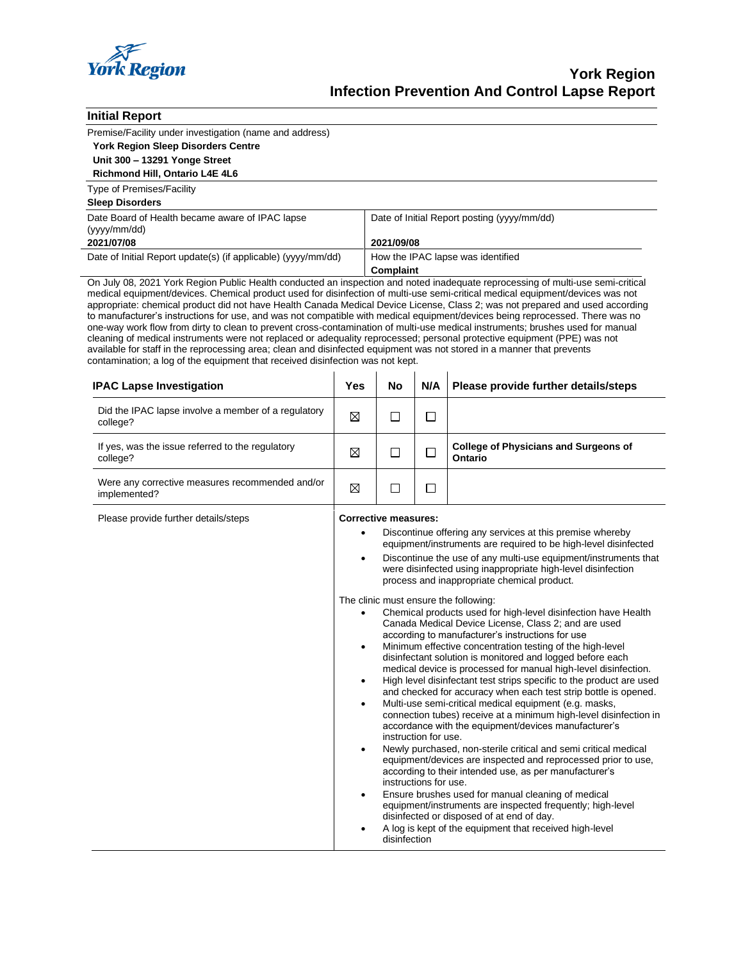

| <b>Initial Report</b>                                                                                                                                                                                                                                                                                                                                                                                                                                                                                                                                                                                                                                                                                                                                                                                                                                                                                                                                                                                         |                                                                                                                                                                                     |                                                                                                                                                  |        |                                                           |  |  |
|---------------------------------------------------------------------------------------------------------------------------------------------------------------------------------------------------------------------------------------------------------------------------------------------------------------------------------------------------------------------------------------------------------------------------------------------------------------------------------------------------------------------------------------------------------------------------------------------------------------------------------------------------------------------------------------------------------------------------------------------------------------------------------------------------------------------------------------------------------------------------------------------------------------------------------------------------------------------------------------------------------------|-------------------------------------------------------------------------------------------------------------------------------------------------------------------------------------|--------------------------------------------------------------------------------------------------------------------------------------------------|--------|-----------------------------------------------------------|--|--|
| Premise/Facility under investigation (name and address)                                                                                                                                                                                                                                                                                                                                                                                                                                                                                                                                                                                                                                                                                                                                                                                                                                                                                                                                                       |                                                                                                                                                                                     |                                                                                                                                                  |        |                                                           |  |  |
| <b>York Region Sleep Disorders Centre</b>                                                                                                                                                                                                                                                                                                                                                                                                                                                                                                                                                                                                                                                                                                                                                                                                                                                                                                                                                                     |                                                                                                                                                                                     |                                                                                                                                                  |        |                                                           |  |  |
| Unit 300 - 13291 Yonge Street                                                                                                                                                                                                                                                                                                                                                                                                                                                                                                                                                                                                                                                                                                                                                                                                                                                                                                                                                                                 |                                                                                                                                                                                     |                                                                                                                                                  |        |                                                           |  |  |
| Richmond Hill, Ontario L4E 4L6                                                                                                                                                                                                                                                                                                                                                                                                                                                                                                                                                                                                                                                                                                                                                                                                                                                                                                                                                                                |                                                                                                                                                                                     |                                                                                                                                                  |        |                                                           |  |  |
| Type of Premises/Facility<br><b>Sleep Disorders</b>                                                                                                                                                                                                                                                                                                                                                                                                                                                                                                                                                                                                                                                                                                                                                                                                                                                                                                                                                           |                                                                                                                                                                                     |                                                                                                                                                  |        |                                                           |  |  |
| Date Board of Health became aware of IPAC lapse                                                                                                                                                                                                                                                                                                                                                                                                                                                                                                                                                                                                                                                                                                                                                                                                                                                                                                                                                               |                                                                                                                                                                                     |                                                                                                                                                  |        |                                                           |  |  |
| (yyyy/mm/dd)                                                                                                                                                                                                                                                                                                                                                                                                                                                                                                                                                                                                                                                                                                                                                                                                                                                                                                                                                                                                  |                                                                                                                                                                                     | Date of Initial Report posting (yyyy/mm/dd)                                                                                                      |        |                                                           |  |  |
| 2021/07/08                                                                                                                                                                                                                                                                                                                                                                                                                                                                                                                                                                                                                                                                                                                                                                                                                                                                                                                                                                                                    |                                                                                                                                                                                     | 2021/09/08                                                                                                                                       |        |                                                           |  |  |
| Date of Initial Report update(s) (if applicable) (yyyy/mm/dd)                                                                                                                                                                                                                                                                                                                                                                                                                                                                                                                                                                                                                                                                                                                                                                                                                                                                                                                                                 |                                                                                                                                                                                     | How the IPAC lapse was identified                                                                                                                |        |                                                           |  |  |
|                                                                                                                                                                                                                                                                                                                                                                                                                                                                                                                                                                                                                                                                                                                                                                                                                                                                                                                                                                                                               |                                                                                                                                                                                     | Complaint                                                                                                                                        |        |                                                           |  |  |
| On July 08, 2021 York Region Public Health conducted an inspection and noted inadequate reprocessing of multi-use semi-critical<br>medical equipment/devices. Chemical product used for disinfection of multi-use semi-critical medical equipment/devices was not<br>appropriate: chemical product did not have Health Canada Medical Device License, Class 2; was not prepared and used according<br>to manufacturer's instructions for use, and was not compatible with medical equipment/devices being reprocessed. There was no<br>one-way work flow from dirty to clean to prevent cross-contamination of multi-use medical instruments; brushes used for manual<br>cleaning of medical instruments were not replaced or adequality reprocessed; personal protective equipment (PPE) was not<br>available for staff in the reprocessing area; clean and disinfected equipment was not stored in a manner that prevents<br>contamination; a log of the equipment that received disinfection was not kept. |                                                                                                                                                                                     |                                                                                                                                                  |        |                                                           |  |  |
| <b>IPAC Lapse Investigation</b>                                                                                                                                                                                                                                                                                                                                                                                                                                                                                                                                                                                                                                                                                                                                                                                                                                                                                                                                                                               | Yes                                                                                                                                                                                 | No                                                                                                                                               | N/A    | Please provide further details/steps                      |  |  |
| Did the IPAC lapse involve a member of a regulatory<br>college?                                                                                                                                                                                                                                                                                                                                                                                                                                                                                                                                                                                                                                                                                                                                                                                                                                                                                                                                               | ⊠                                                                                                                                                                                   | П                                                                                                                                                | $\Box$ |                                                           |  |  |
| If yes, was the issue referred to the regulatory<br>college?                                                                                                                                                                                                                                                                                                                                                                                                                                                                                                                                                                                                                                                                                                                                                                                                                                                                                                                                                  | ⊠                                                                                                                                                                                   | □                                                                                                                                                | □      | <b>College of Physicians and Surgeons of</b><br>Ontario   |  |  |
| Were any corrective measures recommended and/or<br>implemented?                                                                                                                                                                                                                                                                                                                                                                                                                                                                                                                                                                                                                                                                                                                                                                                                                                                                                                                                               | ⊠                                                                                                                                                                                   | $\Box$                                                                                                                                           | ⊔      |                                                           |  |  |
| Please provide further details/steps                                                                                                                                                                                                                                                                                                                                                                                                                                                                                                                                                                                                                                                                                                                                                                                                                                                                                                                                                                          |                                                                                                                                                                                     | <b>Corrective measures:</b>                                                                                                                      |        |                                                           |  |  |
|                                                                                                                                                                                                                                                                                                                                                                                                                                                                                                                                                                                                                                                                                                                                                                                                                                                                                                                                                                                                               |                                                                                                                                                                                     |                                                                                                                                                  |        | Discontinue offering any services at this premise whereby |  |  |
|                                                                                                                                                                                                                                                                                                                                                                                                                                                                                                                                                                                                                                                                                                                                                                                                                                                                                                                                                                                                               |                                                                                                                                                                                     | equipment/instruments are required to be high-level disinfected                                                                                  |        |                                                           |  |  |
|                                                                                                                                                                                                                                                                                                                                                                                                                                                                                                                                                                                                                                                                                                                                                                                                                                                                                                                                                                                                               | Discontinue the use of any multi-use equipment/instruments that<br>٠<br>were disinfected using inappropriate high-level disinfection<br>process and inappropriate chemical product. |                                                                                                                                                  |        |                                                           |  |  |
|                                                                                                                                                                                                                                                                                                                                                                                                                                                                                                                                                                                                                                                                                                                                                                                                                                                                                                                                                                                                               |                                                                                                                                                                                     |                                                                                                                                                  |        |                                                           |  |  |
|                                                                                                                                                                                                                                                                                                                                                                                                                                                                                                                                                                                                                                                                                                                                                                                                                                                                                                                                                                                                               | The clinic must ensure the following:<br>Chemical products used for high-level disinfection have Health                                                                             |                                                                                                                                                  |        |                                                           |  |  |
|                                                                                                                                                                                                                                                                                                                                                                                                                                                                                                                                                                                                                                                                                                                                                                                                                                                                                                                                                                                                               | Canada Medical Device License, Class 2; and are used                                                                                                                                |                                                                                                                                                  |        |                                                           |  |  |
|                                                                                                                                                                                                                                                                                                                                                                                                                                                                                                                                                                                                                                                                                                                                                                                                                                                                                                                                                                                                               |                                                                                                                                                                                     | according to manufacturer's instructions for use<br>Minimum effective concentration testing of the high-level<br>٠                               |        |                                                           |  |  |
|                                                                                                                                                                                                                                                                                                                                                                                                                                                                                                                                                                                                                                                                                                                                                                                                                                                                                                                                                                                                               | disinfectant solution is monitored and logged before each                                                                                                                           |                                                                                                                                                  |        |                                                           |  |  |
|                                                                                                                                                                                                                                                                                                                                                                                                                                                                                                                                                                                                                                                                                                                                                                                                                                                                                                                                                                                                               | medical device is processed for manual high-level disinfection.                                                                                                                     |                                                                                                                                                  |        |                                                           |  |  |
|                                                                                                                                                                                                                                                                                                                                                                                                                                                                                                                                                                                                                                                                                                                                                                                                                                                                                                                                                                                                               |                                                                                                                                                                                     | High level disinfectant test strips specific to the product are used<br>and checked for accuracy when each test strip bottle is opened.          |        |                                                           |  |  |
|                                                                                                                                                                                                                                                                                                                                                                                                                                                                                                                                                                                                                                                                                                                                                                                                                                                                                                                                                                                                               |                                                                                                                                                                                     | Multi-use semi-critical medical equipment (e.g. masks,                                                                                           |        |                                                           |  |  |
|                                                                                                                                                                                                                                                                                                                                                                                                                                                                                                                                                                                                                                                                                                                                                                                                                                                                                                                                                                                                               | connection tubes) receive at a minimum high-level disinfection in<br>accordance with the equipment/devices manufacturer's<br>instruction for use.                                   |                                                                                                                                                  |        |                                                           |  |  |
|                                                                                                                                                                                                                                                                                                                                                                                                                                                                                                                                                                                                                                                                                                                                                                                                                                                                                                                                                                                                               |                                                                                                                                                                                     |                                                                                                                                                  |        |                                                           |  |  |
|                                                                                                                                                                                                                                                                                                                                                                                                                                                                                                                                                                                                                                                                                                                                                                                                                                                                                                                                                                                                               | ٠                                                                                                                                                                                   | Newly purchased, non-sterile critical and semi critical medical                                                                                  |        |                                                           |  |  |
|                                                                                                                                                                                                                                                                                                                                                                                                                                                                                                                                                                                                                                                                                                                                                                                                                                                                                                                                                                                                               |                                                                                                                                                                                     | equipment/devices are inspected and reprocessed prior to use,<br>according to their intended use, as per manufacturer's<br>instructions for use. |        |                                                           |  |  |
|                                                                                                                                                                                                                                                                                                                                                                                                                                                                                                                                                                                                                                                                                                                                                                                                                                                                                                                                                                                                               | Ensure brushes used for manual cleaning of medical<br>$\bullet$                                                                                                                     |                                                                                                                                                  |        |                                                           |  |  |
|                                                                                                                                                                                                                                                                                                                                                                                                                                                                                                                                                                                                                                                                                                                                                                                                                                                                                                                                                                                                               |                                                                                                                                                                                     | equipment/instruments are inspected frequently; high-level<br>disinfected or disposed of at end of day.                                          |        |                                                           |  |  |
|                                                                                                                                                                                                                                                                                                                                                                                                                                                                                                                                                                                                                                                                                                                                                                                                                                                                                                                                                                                                               |                                                                                                                                                                                     |                                                                                                                                                  |        |                                                           |  |  |
|                                                                                                                                                                                                                                                                                                                                                                                                                                                                                                                                                                                                                                                                                                                                                                                                                                                                                                                                                                                                               |                                                                                                                                                                                     |                                                                                                                                                  |        | A log is kept of the equipment that received high-level   |  |  |